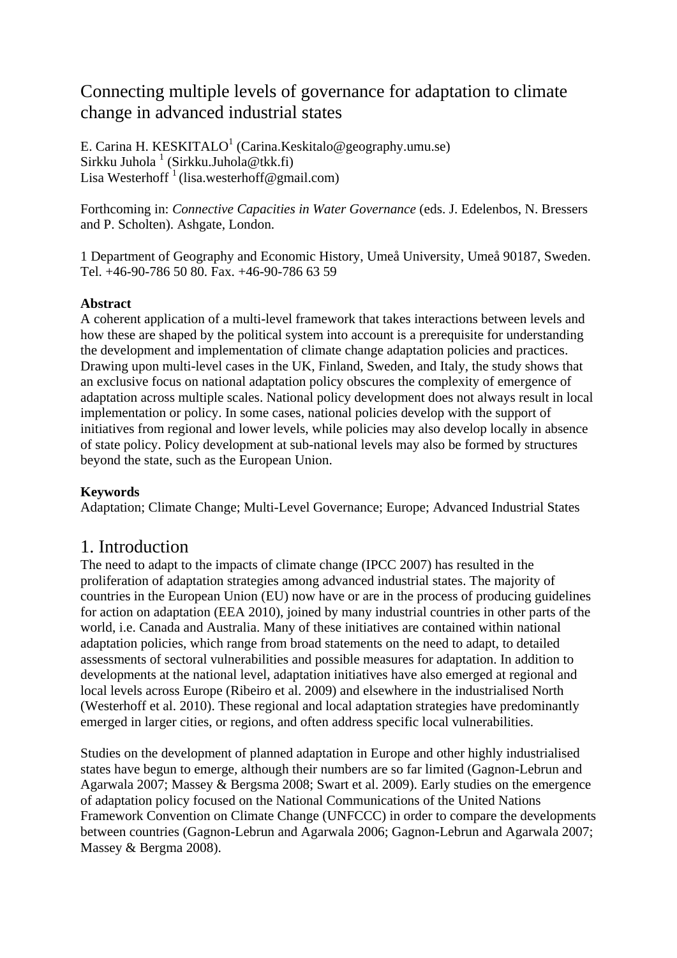# Connecting multiple levels of governance for adaptation to climate change in advanced industrial states

E. Carina H. KESKITALO<sup>1</sup> (Carina.Keskitalo@geography.umu.se) Sirkku Juhola<sup>1</sup> (Sirkku.Juhola@tkk.fi) Lisa Westerhoff<sup>1</sup> (lisa.westerhoff@gmail.com)

Forthcoming in: *Connective Capacities in Water Governance* (eds. J. Edelenbos, N. Bressers and P. Scholten). Ashgate, London.

1 Department of Geography and Economic History, Umeå University, Umeå 90187, Sweden. Tel. +46-90-786 50 80. Fax. +46-90-786 63 59

### **Abstract**

A coherent application of a multi-level framework that takes interactions between levels and how these are shaped by the political system into account is a prerequisite for understanding the development and implementation of climate change adaptation policies and practices. Drawing upon multi-level cases in the UK, Finland, Sweden, and Italy, the study shows that an exclusive focus on national adaptation policy obscures the complexity of emergence of adaptation across multiple scales. National policy development does not always result in local implementation or policy. In some cases, national policies develop with the support of initiatives from regional and lower levels, while policies may also develop locally in absence of state policy. Policy development at sub-national levels may also be formed by structures beyond the state, such as the European Union.

### **Keywords**

Adaptation; Climate Change; Multi-Level Governance; Europe; Advanced Industrial States

## 1. Introduction

The need to adapt to the impacts of climate change (IPCC 2007) has resulted in the proliferation of adaptation strategies among advanced industrial states. The majority of countries in the European Union (EU) now have or are in the process of producing guidelines for action on adaptation (EEA 2010), joined by many industrial countries in other parts of the world, i.e. Canada and Australia. Many of these initiatives are contained within national adaptation policies, which range from broad statements on the need to adapt, to detailed assessments of sectoral vulnerabilities and possible measures for adaptation. In addition to developments at the national level, adaptation initiatives have also emerged at regional and local levels across Europe (Ribeiro et al. 2009) and elsewhere in the industrialised North (Westerhoff et al. 2010). These regional and local adaptation strategies have predominantly emerged in larger cities, or regions, and often address specific local vulnerabilities.

Studies on the development of planned adaptation in Europe and other highly industrialised states have begun to emerge, although their numbers are so far limited (Gagnon-Lebrun and Agarwala 2007; Massey & Bergsma 2008; Swart et al. 2009). Early studies on the emergence of adaptation policy focused on the National Communications of the United Nations Framework Convention on Climate Change (UNFCCC) in order to compare the developments between countries (Gagnon-Lebrun and Agarwala 2006; Gagnon-Lebrun and Agarwala 2007; Massey & Bergma 2008).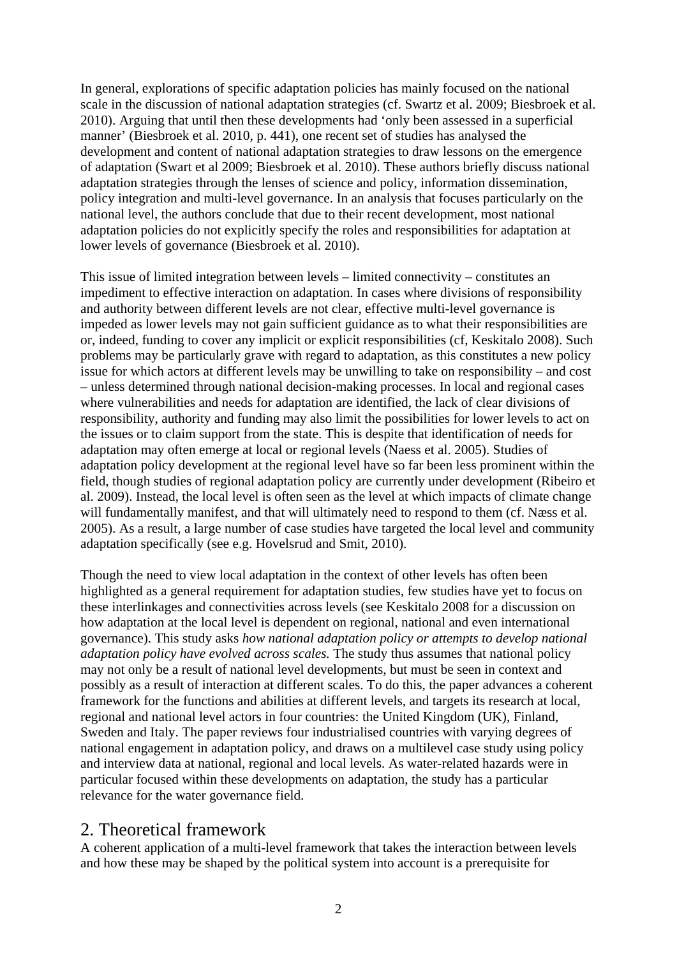In general, explorations of specific adaptation policies has mainly focused on the national scale in the discussion of national adaptation strategies (cf. Swartz et al. 2009; Biesbroek et al. 2010). Arguing that until then these developments had 'only been assessed in a superficial manner' (Biesbroek et al. 2010, p. 441), one recent set of studies has analysed the development and content of national adaptation strategies to draw lessons on the emergence of adaptation (Swart et al 2009; Biesbroek et al. 2010). These authors briefly discuss national adaptation strategies through the lenses of science and policy, information dissemination, policy integration and multi-level governance. In an analysis that focuses particularly on the national level, the authors conclude that due to their recent development, most national adaptation policies do not explicitly specify the roles and responsibilities for adaptation at lower levels of governance (Biesbroek et al. 2010).

This issue of limited integration between levels – limited connectivity – constitutes an impediment to effective interaction on adaptation. In cases where divisions of responsibility and authority between different levels are not clear, effective multi-level governance is impeded as lower levels may not gain sufficient guidance as to what their responsibilities are or, indeed, funding to cover any implicit or explicit responsibilities (cf, Keskitalo 2008). Such problems may be particularly grave with regard to adaptation, as this constitutes a new policy issue for which actors at different levels may be unwilling to take on responsibility – and cost – unless determined through national decision-making processes. In local and regional cases where vulnerabilities and needs for adaptation are identified, the lack of clear divisions of responsibility, authority and funding may also limit the possibilities for lower levels to act on the issues or to claim support from the state. This is despite that identification of needs for adaptation may often emerge at local or regional levels (Naess et al. 2005). Studies of adaptation policy development at the regional level have so far been less prominent within the field, though studies of regional adaptation policy are currently under development (Ribeiro et al. 2009). Instead, the local level is often seen as the level at which impacts of climate change will fundamentally manifest, and that will ultimately need to respond to them (cf. Næss et al. 2005). As a result, a large number of case studies have targeted the local level and community adaptation specifically (see e.g. Hovelsrud and Smit, 2010).

Though the need to view local adaptation in the context of other levels has often been highlighted as a general requirement for adaptation studies, few studies have yet to focus on these interlinkages and connectivities across levels (see Keskitalo 2008 for a discussion on how adaptation at the local level is dependent on regional, national and even international governance). This study asks *how national adaptation policy or attempts to develop national adaptation policy have evolved across scales.* The study thus assumes that national policy may not only be a result of national level developments, but must be seen in context and possibly as a result of interaction at different scales. To do this, the paper advances a coherent framework for the functions and abilities at different levels, and targets its research at local, regional and national level actors in four countries: the United Kingdom (UK), Finland, Sweden and Italy. The paper reviews four industrialised countries with varying degrees of national engagement in adaptation policy, and draws on a multilevel case study using policy and interview data at national, regional and local levels. As water-related hazards were in particular focused within these developments on adaptation, the study has a particular relevance for the water governance field.

# 2. Theoretical framework

A coherent application of a multi-level framework that takes the interaction between levels and how these may be shaped by the political system into account is a prerequisite for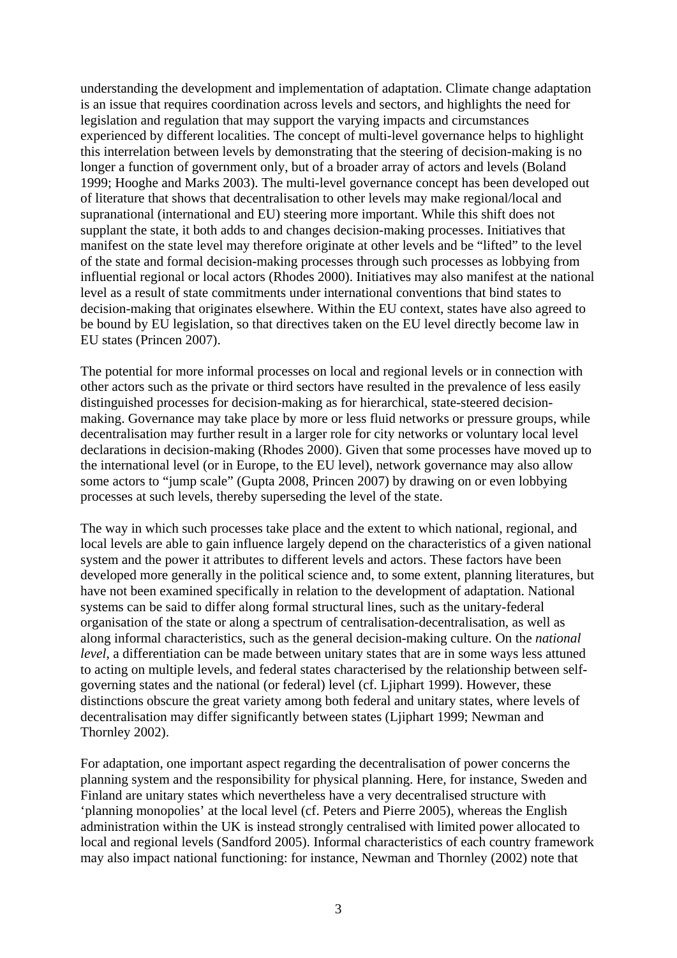understanding the development and implementation of adaptation. Climate change adaptation is an issue that requires coordination across levels and sectors, and highlights the need for legislation and regulation that may support the varying impacts and circumstances experienced by different localities. The concept of multi-level governance helps to highlight this interrelation between levels by demonstrating that the steering of decision-making is no longer a function of government only, but of a broader array of actors and levels (Boland 1999; Hooghe and Marks 2003). The multi-level governance concept has been developed out of literature that shows that decentralisation to other levels may make regional/local and supranational (international and EU) steering more important. While this shift does not supplant the state, it both adds to and changes decision-making processes. Initiatives that manifest on the state level may therefore originate at other levels and be "lifted" to the level of the state and formal decision-making processes through such processes as lobbying from influential regional or local actors (Rhodes 2000). Initiatives may also manifest at the national level as a result of state commitments under international conventions that bind states to decision-making that originates elsewhere. Within the EU context, states have also agreed to be bound by EU legislation, so that directives taken on the EU level directly become law in EU states (Princen 2007).

The potential for more informal processes on local and regional levels or in connection with other actors such as the private or third sectors have resulted in the prevalence of less easily distinguished processes for decision-making as for hierarchical, state-steered decisionmaking. Governance may take place by more or less fluid networks or pressure groups, while decentralisation may further result in a larger role for city networks or voluntary local level declarations in decision-making (Rhodes 2000). Given that some processes have moved up to the international level (or in Europe, to the EU level), network governance may also allow some actors to "jump scale" (Gupta 2008, Princen 2007) by drawing on or even lobbying processes at such levels, thereby superseding the level of the state.

The way in which such processes take place and the extent to which national, regional, and local levels are able to gain influence largely depend on the characteristics of a given national system and the power it attributes to different levels and actors. These factors have been developed more generally in the political science and, to some extent, planning literatures, but have not been examined specifically in relation to the development of adaptation. National systems can be said to differ along formal structural lines, such as the unitary-federal organisation of the state or along a spectrum of centralisation-decentralisation, as well as along informal characteristics, such as the general decision-making culture. On the *national level*, a differentiation can be made between unitary states that are in some ways less attuned to acting on multiple levels, and federal states characterised by the relationship between selfgoverning states and the national (or federal) level (cf. Ljiphart 1999). However, these distinctions obscure the great variety among both federal and unitary states, where levels of decentralisation may differ significantly between states (Ljiphart 1999; Newman and Thornley 2002).

For adaptation, one important aspect regarding the decentralisation of power concerns the planning system and the responsibility for physical planning. Here, for instance, Sweden and Finland are unitary states which nevertheless have a very decentralised structure with 'planning monopolies' at the local level (cf. Peters and Pierre 2005), whereas the English administration within the UK is instead strongly centralised with limited power allocated to local and regional levels (Sandford 2005). Informal characteristics of each country framework may also impact national functioning: for instance, Newman and Thornley (2002) note that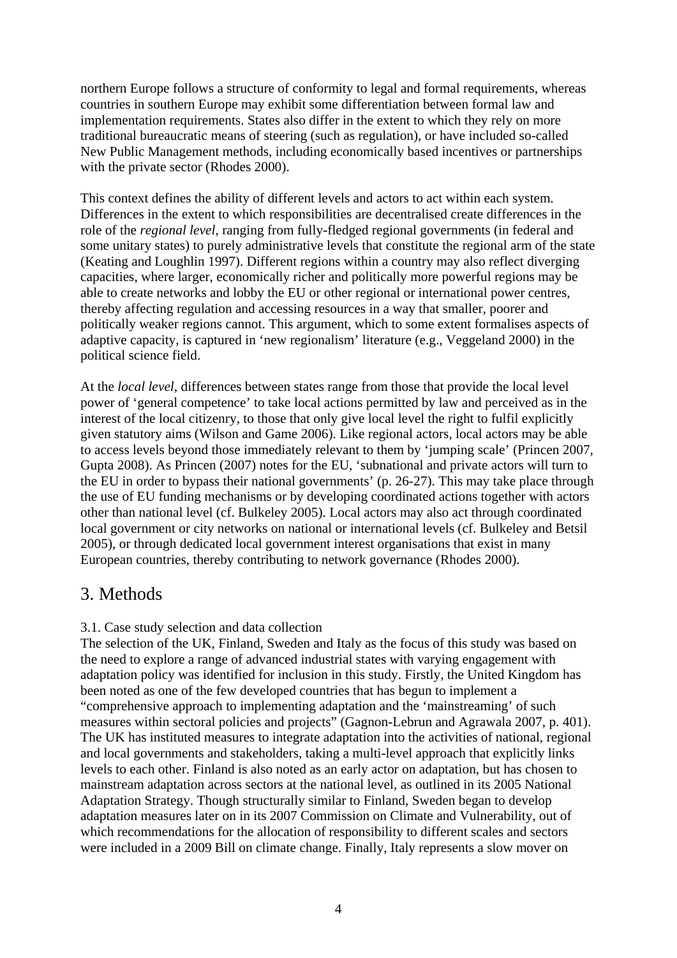northern Europe follows a structure of conformity to legal and formal requirements, whereas countries in southern Europe may exhibit some differentiation between formal law and implementation requirements. States also differ in the extent to which they rely on more traditional bureaucratic means of steering (such as regulation), or have included so-called New Public Management methods, including economically based incentives or partnerships with the private sector (Rhodes 2000).

This context defines the ability of different levels and actors to act within each system. Differences in the extent to which responsibilities are decentralised create differences in the role of the *regional level*, ranging from fully-fledged regional governments (in federal and some unitary states) to purely administrative levels that constitute the regional arm of the state (Keating and Loughlin 1997). Different regions within a country may also reflect diverging capacities, where larger, economically richer and politically more powerful regions may be able to create networks and lobby the EU or other regional or international power centres, thereby affecting regulation and accessing resources in a way that smaller, poorer and politically weaker regions cannot. This argument, which to some extent formalises aspects of adaptive capacity, is captured in 'new regionalism' literature (e.g., Veggeland 2000) in the political science field.

At the *local level*, differences between states range from those that provide the local level power of 'general competence' to take local actions permitted by law and perceived as in the interest of the local citizenry, to those that only give local level the right to fulfil explicitly given statutory aims (Wilson and Game 2006). Like regional actors, local actors may be able to access levels beyond those immediately relevant to them by 'jumping scale' (Princen 2007, Gupta 2008). As Princen (2007) notes for the EU, 'subnational and private actors will turn to the EU in order to bypass their national governments' (p. 26-27). This may take place through the use of EU funding mechanisms or by developing coordinated actions together with actors other than national level (cf. Bulkeley 2005). Local actors may also act through coordinated local government or city networks on national or international levels (cf. Bulkeley and Betsil 2005), or through dedicated local government interest organisations that exist in many European countries, thereby contributing to network governance (Rhodes 2000).

# 3. Methods

## 3.1. Case study selection and data collection

The selection of the UK, Finland, Sweden and Italy as the focus of this study was based on the need to explore a range of advanced industrial states with varying engagement with adaptation policy was identified for inclusion in this study. Firstly, the United Kingdom has been noted as one of the few developed countries that has begun to implement a "comprehensive approach to implementing adaptation and the 'mainstreaming' of such measures within sectoral policies and projects" (Gagnon-Lebrun and Agrawala 2007, p. 401). The UK has instituted measures to integrate adaptation into the activities of national, regional and local governments and stakeholders, taking a multi-level approach that explicitly links levels to each other. Finland is also noted as an early actor on adaptation, but has chosen to mainstream adaptation across sectors at the national level, as outlined in its 2005 National Adaptation Strategy. Though structurally similar to Finland, Sweden began to develop adaptation measures later on in its 2007 Commission on Climate and Vulnerability, out of which recommendations for the allocation of responsibility to different scales and sectors were included in a 2009 Bill on climate change. Finally, Italy represents a slow mover on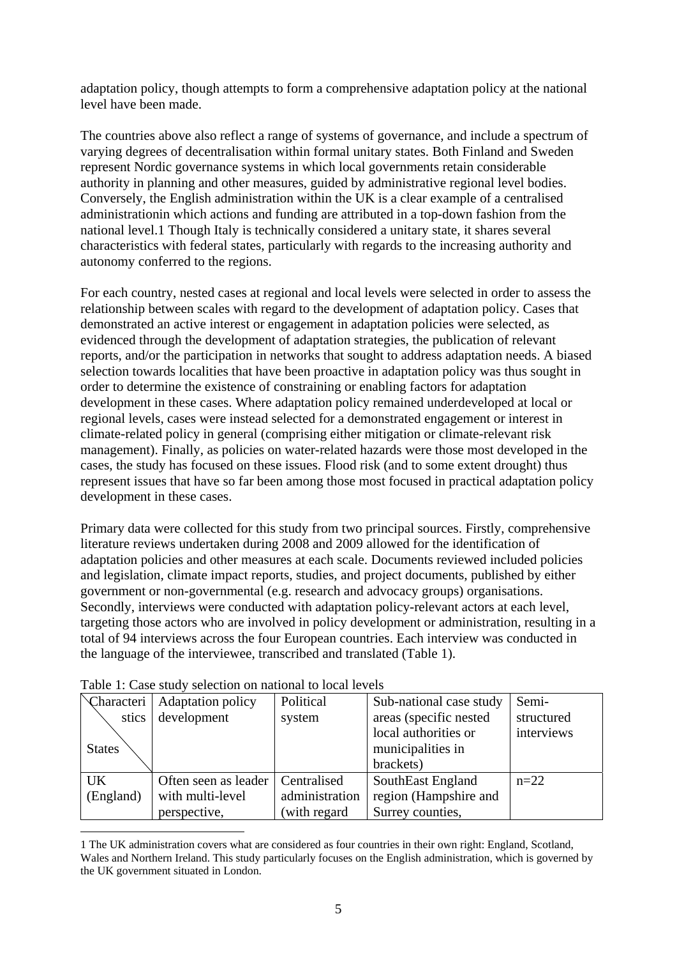adaptation policy, though attempts to form a comprehensive adaptation policy at the national level have been made.

The countries above also reflect a range of systems of governance, and include a spectrum of varying degrees of decentralisation within formal unitary states. Both Finland and Sweden represent Nordic governance systems in which local governments retain considerable authority in planning and other measures, guided by administrative regional level bodies. Conversely, the English administration within the UK is a clear example of a centralised administrationin which actions and funding are attributed in a top-down fashion from the national level.1 Though Italy is technically considered a unitary state, it shares several characteristics with federal states, particularly with regards to the increasing authority and autonomy conferred to the regions.

For each country, nested cases at regional and local levels were selected in order to assess the relationship between scales with regard to the development of adaptation policy. Cases that demonstrated an active interest or engagement in adaptation policies were selected, as evidenced through the development of adaptation strategies, the publication of relevant reports, and/or the participation in networks that sought to address adaptation needs. A biased selection towards localities that have been proactive in adaptation policy was thus sought in order to determine the existence of constraining or enabling factors for adaptation development in these cases. Where adaptation policy remained underdeveloped at local or regional levels, cases were instead selected for a demonstrated engagement or interest in climate-related policy in general (comprising either mitigation or climate-relevant risk management). Finally, as policies on water-related hazards were those most developed in the cases, the study has focused on these issues. Flood risk (and to some extent drought) thus represent issues that have so far been among those most focused in practical adaptation policy development in these cases.

Primary data were collected for this study from two principal sources. Firstly, comprehensive literature reviews undertaken during 2008 and 2009 allowed for the identification of adaptation policies and other measures at each scale. Documents reviewed included policies and legislation, climate impact reports, studies, and project documents, published by either government or non-governmental (e.g. research and advocacy groups) organisations. Secondly, interviews were conducted with adaptation policy-relevant actors at each level, targeting those actors who are involved in policy development or administration, resulting in a total of 94 interviews across the four European countries. Each interview was conducted in the language of the interviewee, transcribed and translated (Table 1).

| Table 1. Case study selection on hational to local levels |                          |                |                         |            |  |
|-----------------------------------------------------------|--------------------------|----------------|-------------------------|------------|--|
| Characteri                                                | <b>Adaptation policy</b> | Political      | Sub-national case study | Semi-      |  |
| stics                                                     | development              | system         | areas (specific nested  | structured |  |
|                                                           |                          |                | local authorities or    | interviews |  |
| <b>States</b>                                             |                          |                | municipalities in       |            |  |
|                                                           |                          |                | brackets)               |            |  |
| UK                                                        | Often seen as leader     | Centralised    | SouthEast England       | $n=22$     |  |
| (England)                                                 | with multi-level         | administration | region (Hampshire and   |            |  |
|                                                           | perspective,             | (with regard)  | Surrey counties,        |            |  |

Table 1: Case study selection on national to local levels

1

<sup>1</sup> The UK administration covers what are considered as four countries in their own right: England, Scotland, Wales and Northern Ireland. This study particularly focuses on the English administration, which is governed by the UK government situated in London.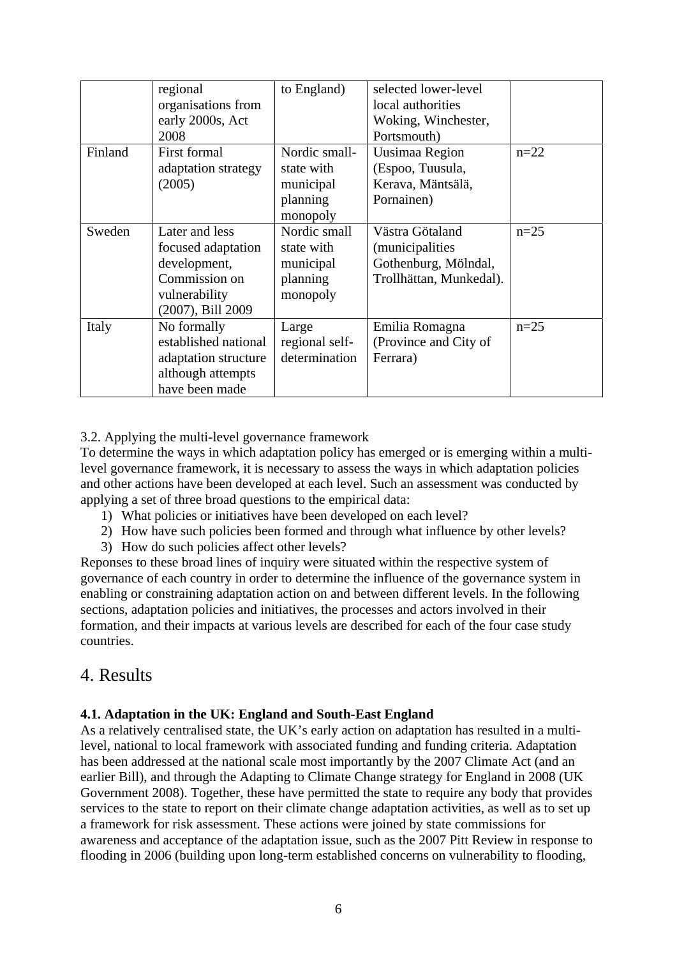|         | regional<br>organisations from<br>early 2000s, Act<br>2008                                                  | to England)                                                      | selected lower-level<br>local authorities<br>Woking, Winchester,<br>Portsmouth)              |        |
|---------|-------------------------------------------------------------------------------------------------------------|------------------------------------------------------------------|----------------------------------------------------------------------------------------------|--------|
| Finland | <b>First formal</b><br>adaptation strategy<br>(2005)                                                        | Nordic small-<br>state with<br>municipal<br>planning<br>monopoly | Uusimaa Region<br>(Espoo, Tuusula,<br>Kerava, Mäntsälä,<br>Pornainen)                        | $n=22$ |
| Sweden  | Later and less<br>focused adaptation<br>development,<br>Commission on<br>vulnerability<br>(2007), Bill 2009 | Nordic small<br>state with<br>municipal<br>planning<br>monopoly  | Västra Götaland<br><i>(municipalities</i><br>Gothenburg, Mölndal,<br>Trollhättan, Munkedal). | $n=25$ |
| Italy   | No formally<br>established national<br>adaptation structure<br>although attempts<br>have been made          | Large<br>regional self-<br>determination                         | Emilia Romagna<br>(Province and City of<br>Ferrara)                                          | $n=25$ |

3.2. Applying the multi-level governance framework

To determine the ways in which adaptation policy has emerged or is emerging within a multilevel governance framework, it is necessary to assess the ways in which adaptation policies and other actions have been developed at each level. Such an assessment was conducted by applying a set of three broad questions to the empirical data:

- 1) What policies or initiatives have been developed on each level?
- 2) How have such policies been formed and through what influence by other levels?
- 3) How do such policies affect other levels?

Reponses to these broad lines of inquiry were situated within the respective system of governance of each country in order to determine the influence of the governance system in enabling or constraining adaptation action on and between different levels. In the following sections, adaptation policies and initiatives, the processes and actors involved in their formation, and their impacts at various levels are described for each of the four case study countries.

## 4. Results

### **4.1. Adaptation in the UK: England and South-East England**

As a relatively centralised state, the UK's early action on adaptation has resulted in a multilevel, national to local framework with associated funding and funding criteria. Adaptation has been addressed at the national scale most importantly by the 2007 Climate Act (and an earlier Bill), and through the Adapting to Climate Change strategy for England in 2008 (UK Government 2008). Together, these have permitted the state to require any body that provides services to the state to report on their climate change adaptation activities, as well as to set up a framework for risk assessment. These actions were joined by state commissions for awareness and acceptance of the adaptation issue, such as the 2007 Pitt Review in response to flooding in 2006 (building upon long-term established concerns on vulnerability to flooding,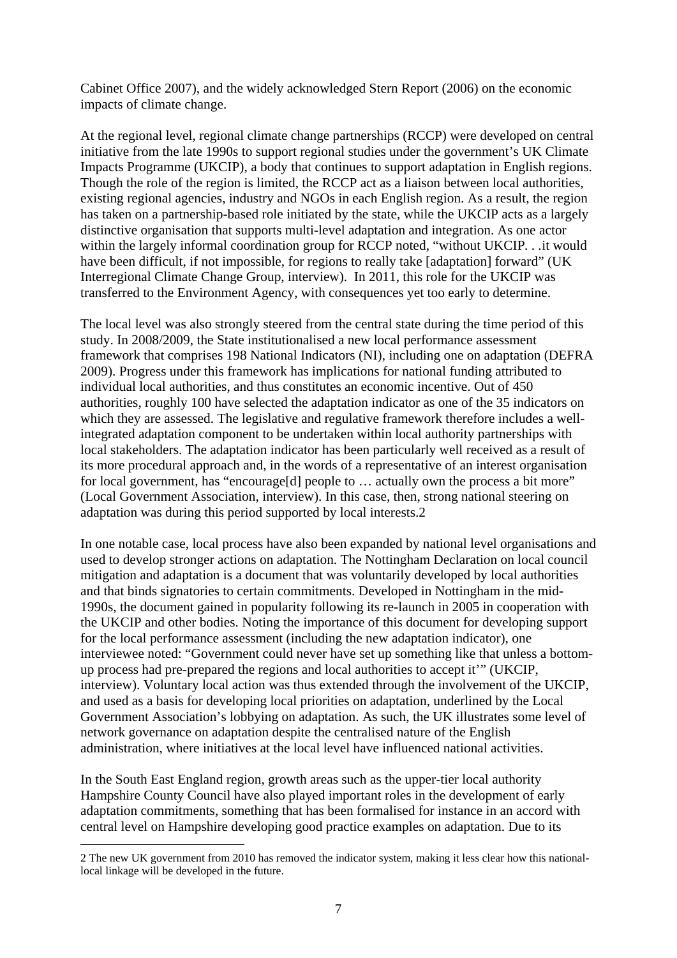Cabinet Office 2007), and the widely acknowledged Stern Report (2006) on the economic impacts of climate change.

At the regional level, regional climate change partnerships (RCCP) were developed on central initiative from the late 1990s to support regional studies under the government's UK Climate Impacts Programme (UKCIP), a body that continues to support adaptation in English regions. Though the role of the region is limited, the RCCP act as a liaison between local authorities, existing regional agencies, industry and NGOs in each English region. As a result, the region has taken on a partnership-based role initiated by the state, while the UKCIP acts as a largely distinctive organisation that supports multi-level adaptation and integration. As one actor within the largely informal coordination group for RCCP noted, "without UKCIP*. . .*it would have been difficult, if not impossible, for regions to really take [adaptation] forward" (UK Interregional Climate Change Group, interview). In 2011, this role for the UKCIP was transferred to the Environment Agency, with consequences yet too early to determine.

The local level was also strongly steered from the central state during the time period of this study. In 2008/2009, the State institutionalised a new local performance assessment framework that comprises 198 National Indicators (NI), including one on adaptation (DEFRA 2009). Progress under this framework has implications for national funding attributed to individual local authorities, and thus constitutes an economic incentive. Out of 450 authorities, roughly 100 have selected the adaptation indicator as one of the 35 indicators on which they are assessed. The legislative and regulative framework therefore includes a wellintegrated adaptation component to be undertaken within local authority partnerships with local stakeholders. The adaptation indicator has been particularly well received as a result of its more procedural approach and, in the words of a representative of an interest organisation for local government, has "encourage<sup>[d]</sup> people to ... actually own the process a bit more" (Local Government Association, interview). In this case, then, strong national steering on adaptation was during this period supported by local interests.2

In one notable case, local process have also been expanded by national level organisations and used to develop stronger actions on adaptation. The Nottingham Declaration on local council mitigation and adaptation is a document that was voluntarily developed by local authorities and that binds signatories to certain commitments. Developed in Nottingham in the mid-1990s, the document gained in popularity following its re-launch in 2005 in cooperation with the UKCIP and other bodies. Noting the importance of this document for developing support for the local performance assessment (including the new adaptation indicator), one interviewee noted: "Government could never have set up something like that unless a bottomup process had pre-prepared the regions and local authorities to accept it'" (UKCIP, interview). Voluntary local action was thus extended through the involvement of the UKCIP, and used as a basis for developing local priorities on adaptation, underlined by the Local Government Association's lobbying on adaptation. As such, the UK illustrates some level of network governance on adaptation despite the centralised nature of the English administration, where initiatives at the local level have influenced national activities.

In the South East England region, growth areas such as the upper-tier local authority Hampshire County Council have also played important roles in the development of early adaptation commitments, something that has been formalised for instance in an accord with central level on Hampshire developing good practice examples on adaptation. Due to its

1

<sup>2</sup> The new UK government from 2010 has removed the indicator system, making it less clear how this nationallocal linkage will be developed in the future.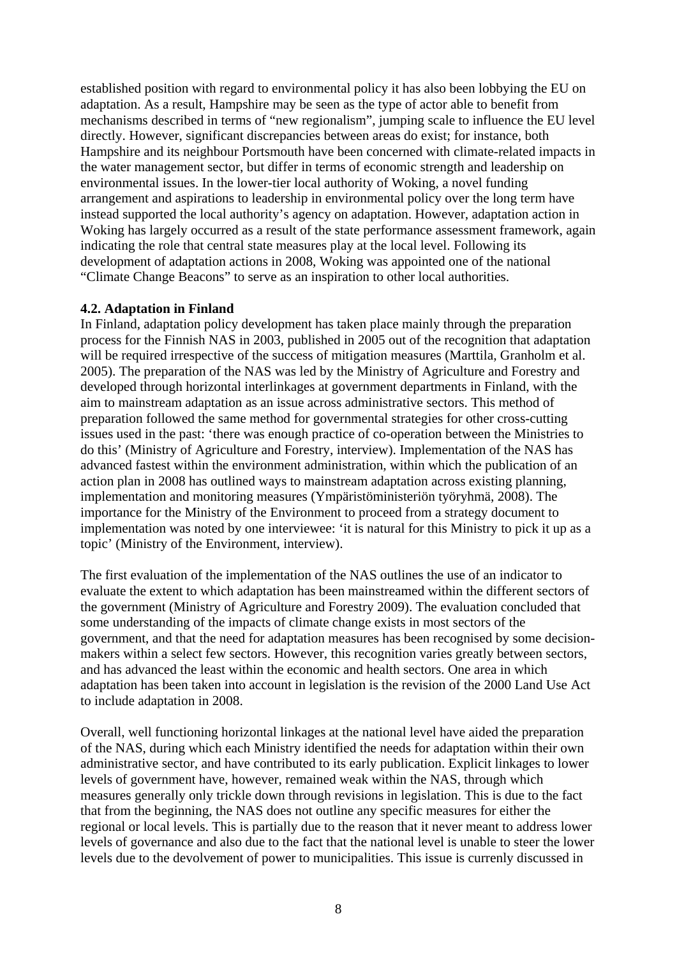established position with regard to environmental policy it has also been lobbying the EU on adaptation. As a result, Hampshire may be seen as the type of actor able to benefit from mechanisms described in terms of "new regionalism", jumping scale to influence the EU level directly. However, significant discrepancies between areas do exist; for instance, both Hampshire and its neighbour Portsmouth have been concerned with climate-related impacts in the water management sector, but differ in terms of economic strength and leadership on environmental issues. In the lower-tier local authority of Woking, a novel funding arrangement and aspirations to leadership in environmental policy over the long term have instead supported the local authority's agency on adaptation. However, adaptation action in Woking has largely occurred as a result of the state performance assessment framework, again indicating the role that central state measures play at the local level. Following its development of adaptation actions in 2008, Woking was appointed one of the national "Climate Change Beacons" to serve as an inspiration to other local authorities.

#### **4.2. Adaptation in Finland**

In Finland, adaptation policy development has taken place mainly through the preparation process for the Finnish NAS in 2003, published in 2005 out of the recognition that adaptation will be required irrespective of the success of mitigation measures (Marttila, Granholm et al. 2005). The preparation of the NAS was led by the Ministry of Agriculture and Forestry and developed through horizontal interlinkages at government departments in Finland, with the aim to mainstream adaptation as an issue across administrative sectors. This method of preparation followed the same method for governmental strategies for other cross-cutting issues used in the past: 'there was enough practice of co-operation between the Ministries to do this' (Ministry of Agriculture and Forestry, interview). Implementation of the NAS has advanced fastest within the environment administration, within which the publication of an action plan in 2008 has outlined ways to mainstream adaptation across existing planning, implementation and monitoring measures (Ympäristöministeriön työryhmä, 2008). The importance for the Ministry of the Environment to proceed from a strategy document to implementation was noted by one interviewee: 'it is natural for this Ministry to pick it up as a topic' (Ministry of the Environment, interview).

The first evaluation of the implementation of the NAS outlines the use of an indicator to evaluate the extent to which adaptation has been mainstreamed within the different sectors of the government (Ministry of Agriculture and Forestry 2009). The evaluation concluded that some understanding of the impacts of climate change exists in most sectors of the government, and that the need for adaptation measures has been recognised by some decisionmakers within a select few sectors. However, this recognition varies greatly between sectors, and has advanced the least within the economic and health sectors. One area in which adaptation has been taken into account in legislation is the revision of the 2000 Land Use Act to include adaptation in 2008.

Overall, well functioning horizontal linkages at the national level have aided the preparation of the NAS, during which each Ministry identified the needs for adaptation within their own administrative sector, and have contributed to its early publication. Explicit linkages to lower levels of government have, however, remained weak within the NAS, through which measures generally only trickle down through revisions in legislation. This is due to the fact that from the beginning, the NAS does not outline any specific measures for either the regional or local levels. This is partially due to the reason that it never meant to address lower levels of governance and also due to the fact that the national level is unable to steer the lower levels due to the devolvement of power to municipalities. This issue is currenly discussed in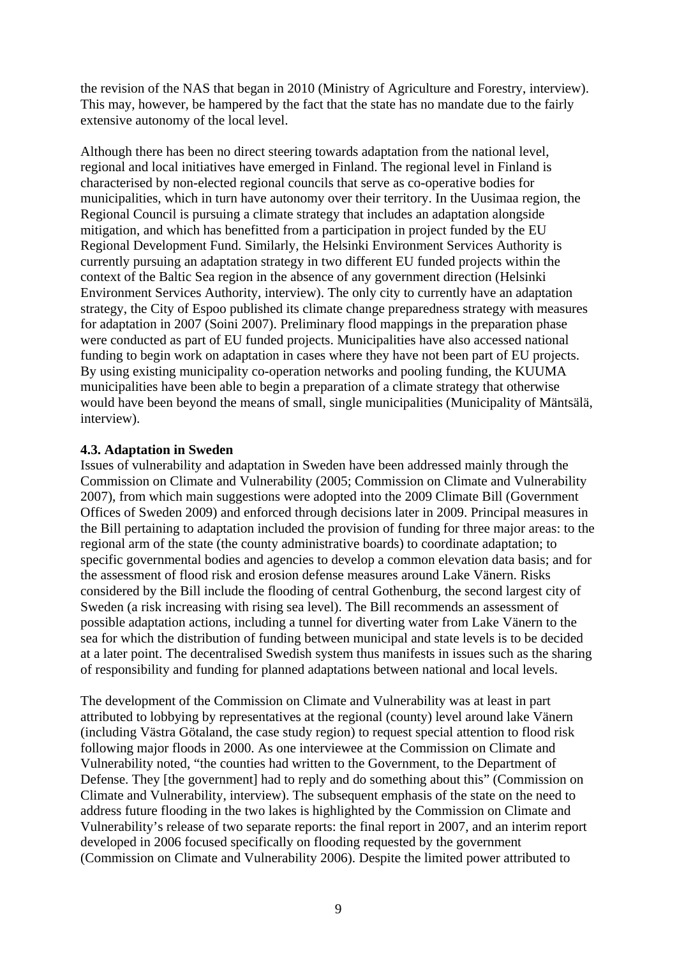the revision of the NAS that began in 2010 (Ministry of Agriculture and Forestry, interview). This may, however, be hampered by the fact that the state has no mandate due to the fairly extensive autonomy of the local level.

Although there has been no direct steering towards adaptation from the national level, regional and local initiatives have emerged in Finland. The regional level in Finland is characterised by non-elected regional councils that serve as co-operative bodies for municipalities, which in turn have autonomy over their territory. In the Uusimaa region, the Regional Council is pursuing a climate strategy that includes an adaptation alongside mitigation, and which has benefitted from a participation in project funded by the EU Regional Development Fund. Similarly, the Helsinki Environment Services Authority is currently pursuing an adaptation strategy in two different EU funded projects within the context of the Baltic Sea region in the absence of any government direction (Helsinki Environment Services Authority, interview). The only city to currently have an adaptation strategy, the City of Espoo published its climate change preparedness strategy with measures for adaptation in 2007 (Soini 2007). Preliminary flood mappings in the preparation phase were conducted as part of EU funded projects. Municipalities have also accessed national funding to begin work on adaptation in cases where they have not been part of EU projects. By using existing municipality co-operation networks and pooling funding, the KUUMA municipalities have been able to begin a preparation of a climate strategy that otherwise would have been beyond the means of small, single municipalities (Municipality of Mäntsälä, interview).

### **4.3. Adaptation in Sweden**

Issues of vulnerability and adaptation in Sweden have been addressed mainly through the Commission on Climate and Vulnerability (2005; Commission on Climate and Vulnerability 2007), from which main suggestions were adopted into the 2009 Climate Bill (Government Offices of Sweden 2009) and enforced through decisions later in 2009. Principal measures in the Bill pertaining to adaptation included the provision of funding for three major areas: to the regional arm of the state (the county administrative boards) to coordinate adaptation; to specific governmental bodies and agencies to develop a common elevation data basis; and for the assessment of flood risk and erosion defense measures around Lake Vänern. Risks considered by the Bill include the flooding of central Gothenburg, the second largest city of Sweden (a risk increasing with rising sea level). The Bill recommends an assessment of possible adaptation actions, including a tunnel for diverting water from Lake Vänern to the sea for which the distribution of funding between municipal and state levels is to be decided at a later point. The decentralised Swedish system thus manifests in issues such as the sharing of responsibility and funding for planned adaptations between national and local levels.

The development of the Commission on Climate and Vulnerability was at least in part attributed to lobbying by representatives at the regional (county) level around lake Vänern (including Västra Götaland, the case study region) to request special attention to flood risk following major floods in 2000. As one interviewee at the Commission on Climate and Vulnerability noted, "the counties had written to the Government, to the Department of Defense. They [the government] had to reply and do something about this" (Commission on Climate and Vulnerability, interview). The subsequent emphasis of the state on the need to address future flooding in the two lakes is highlighted by the Commission on Climate and Vulnerability's release of two separate reports: the final report in 2007, and an interim report developed in 2006 focused specifically on flooding requested by the government (Commission on Climate and Vulnerability 2006). Despite the limited power attributed to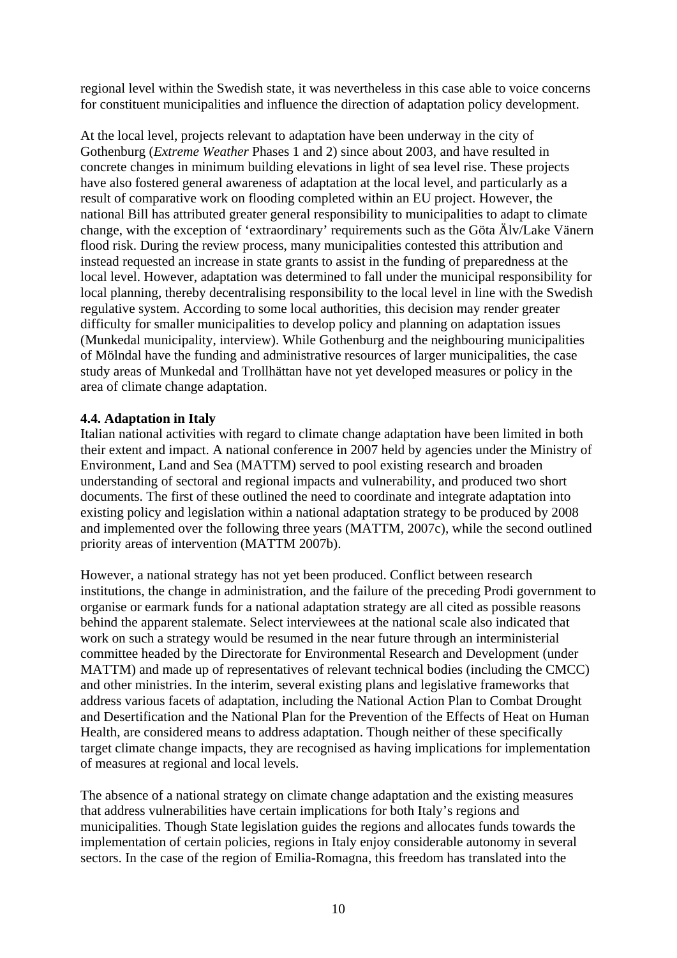regional level within the Swedish state, it was nevertheless in this case able to voice concerns for constituent municipalities and influence the direction of adaptation policy development.

At the local level, projects relevant to adaptation have been underway in the city of Gothenburg (*Extreme Weather* Phases 1 and 2) since about 2003, and have resulted in concrete changes in minimum building elevations in light of sea level rise. These projects have also fostered general awareness of adaptation at the local level, and particularly as a result of comparative work on flooding completed within an EU project. However, the national Bill has attributed greater general responsibility to municipalities to adapt to climate change, with the exception of 'extraordinary' requirements such as the Göta Älv/Lake Vänern flood risk. During the review process, many municipalities contested this attribution and instead requested an increase in state grants to assist in the funding of preparedness at the local level. However, adaptation was determined to fall under the municipal responsibility for local planning, thereby decentralising responsibility to the local level in line with the Swedish regulative system. According to some local authorities, this decision may render greater difficulty for smaller municipalities to develop policy and planning on adaptation issues (Munkedal municipality, interview). While Gothenburg and the neighbouring municipalities of Mölndal have the funding and administrative resources of larger municipalities, the case study areas of Munkedal and Trollhättan have not yet developed measures or policy in the area of climate change adaptation.

### **4.4. Adaptation in Italy**

Italian national activities with regard to climate change adaptation have been limited in both their extent and impact. A national conference in 2007 held by agencies under the Ministry of Environment, Land and Sea (MATTM) served to pool existing research and broaden understanding of sectoral and regional impacts and vulnerability, and produced two short documents. The first of these outlined the need to coordinate and integrate adaptation into existing policy and legislation within a national adaptation strategy to be produced by 2008 and implemented over the following three years (MATTM, 2007c), while the second outlined priority areas of intervention (MATTM 2007b).

However, a national strategy has not yet been produced. Conflict between research institutions, the change in administration, and the failure of the preceding Prodi government to organise or earmark funds for a national adaptation strategy are all cited as possible reasons behind the apparent stalemate. Select interviewees at the national scale also indicated that work on such a strategy would be resumed in the near future through an interministerial committee headed by the Directorate for Environmental Research and Development (under MATTM) and made up of representatives of relevant technical bodies (including the CMCC) and other ministries. In the interim, several existing plans and legislative frameworks that address various facets of adaptation, including the National Action Plan to Combat Drought and Desertification and the National Plan for the Prevention of the Effects of Heat on Human Health, are considered means to address adaptation. Though neither of these specifically target climate change impacts, they are recognised as having implications for implementation of measures at regional and local levels.

The absence of a national strategy on climate change adaptation and the existing measures that address vulnerabilities have certain implications for both Italy's regions and municipalities. Though State legislation guides the regions and allocates funds towards the implementation of certain policies, regions in Italy enjoy considerable autonomy in several sectors. In the case of the region of Emilia-Romagna, this freedom has translated into the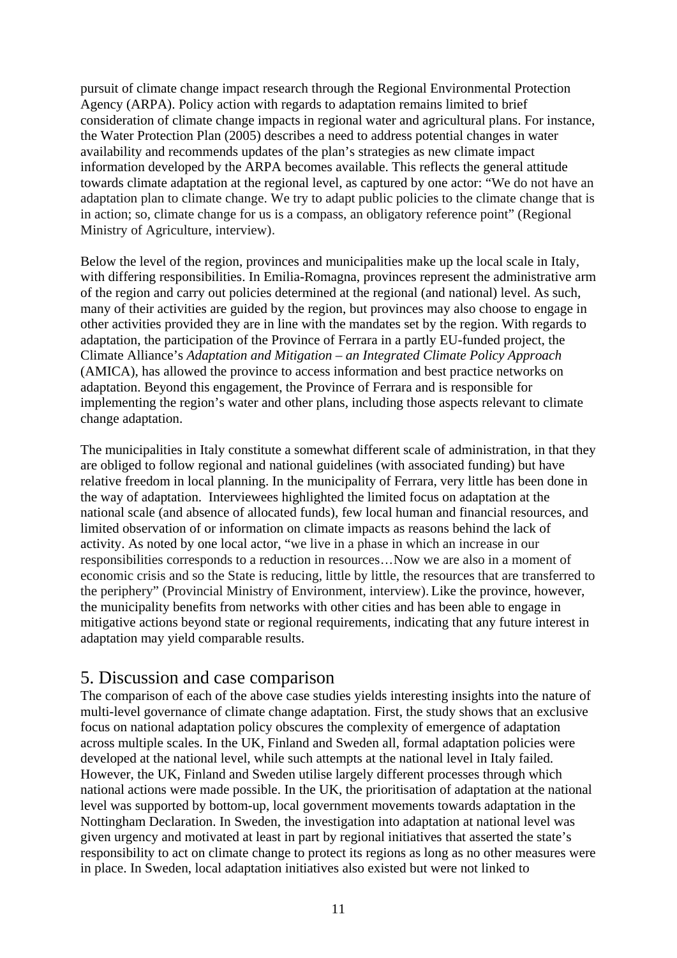pursuit of climate change impact research through the Regional Environmental Protection Agency (ARPA). Policy action with regards to adaptation remains limited to brief consideration of climate change impacts in regional water and agricultural plans. For instance, the Water Protection Plan (2005) describes a need to address potential changes in water availability and recommends updates of the plan's strategies as new climate impact information developed by the ARPA becomes available. This reflects the general attitude towards climate adaptation at the regional level, as captured by one actor: "We do not have an adaptation plan to climate change. We try to adapt public policies to the climate change that is in action; so, climate change for us is a compass, an obligatory reference point" (Regional Ministry of Agriculture, interview).

Below the level of the region, provinces and municipalities make up the local scale in Italy, with differing responsibilities. In Emilia-Romagna, provinces represent the administrative arm of the region and carry out policies determined at the regional (and national) level. As such, many of their activities are guided by the region, but provinces may also choose to engage in other activities provided they are in line with the mandates set by the region. With regards to adaptation, the participation of the Province of Ferrara in a partly EU-funded project, the Climate Alliance's *Adaptation and Mitigation – an Integrated Climate Policy Approach* (AMICA), has allowed the province to access information and best practice networks on adaptation. Beyond this engagement, the Province of Ferrara and is responsible for implementing the region's water and other plans, including those aspects relevant to climate change adaptation.

The municipalities in Italy constitute a somewhat different scale of administration, in that they are obliged to follow regional and national guidelines (with associated funding) but have relative freedom in local planning. In the municipality of Ferrara, very little has been done in the way of adaptation. Interviewees highlighted the limited focus on adaptation at the national scale (and absence of allocated funds), few local human and financial resources, and limited observation of or information on climate impacts as reasons behind the lack of activity. As noted by one local actor, "we live in a phase in which an increase in our responsibilities corresponds to a reduction in resources…Now we are also in a moment of economic crisis and so the State is reducing, little by little, the resources that are transferred to the periphery" (Provincial Ministry of Environment, interview). Like the province, however, the municipality benefits from networks with other cities and has been able to engage in mitigative actions beyond state or regional requirements, indicating that any future interest in adaptation may yield comparable results.

# 5. Discussion and case comparison

The comparison of each of the above case studies yields interesting insights into the nature of multi-level governance of climate change adaptation. First, the study shows that an exclusive focus on national adaptation policy obscures the complexity of emergence of adaptation across multiple scales. In the UK, Finland and Sweden all, formal adaptation policies were developed at the national level, while such attempts at the national level in Italy failed. However, the UK, Finland and Sweden utilise largely different processes through which national actions were made possible. In the UK, the prioritisation of adaptation at the national level was supported by bottom-up, local government movements towards adaptation in the Nottingham Declaration. In Sweden, the investigation into adaptation at national level was given urgency and motivated at least in part by regional initiatives that asserted the state's responsibility to act on climate change to protect its regions as long as no other measures were in place. In Sweden, local adaptation initiatives also existed but were not linked to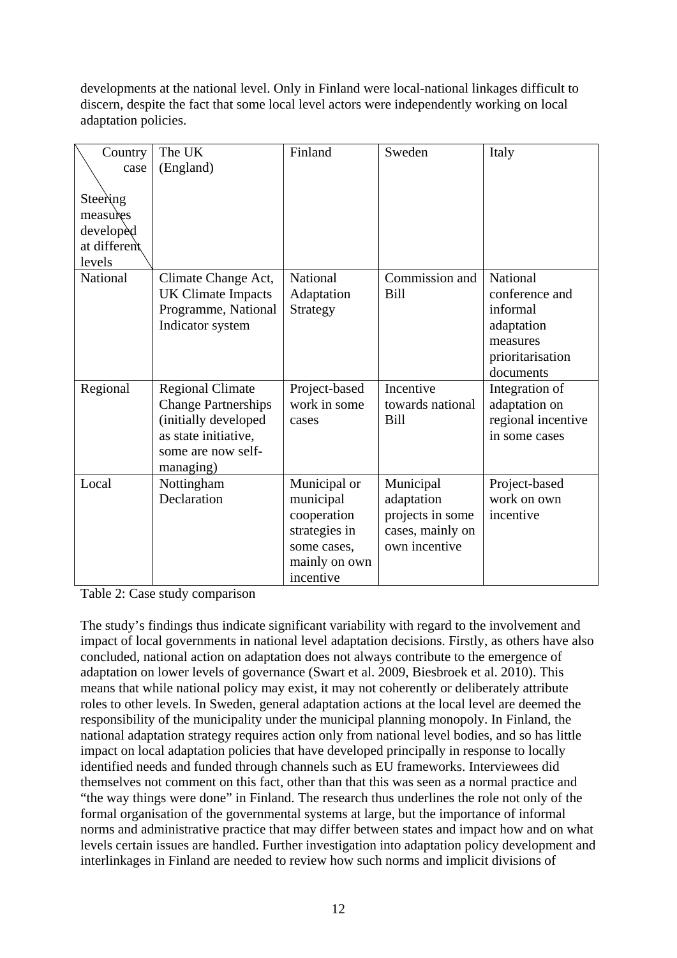developments at the national level. Only in Finland were local-national linkages difficult to discern, despite the fact that some local level actors were independently working on local adaptation policies.

| Country      | The UK                     | Finland       | Sweden           | Italy              |
|--------------|----------------------------|---------------|------------------|--------------------|
| case         | (England)                  |               |                  |                    |
|              |                            |               |                  |                    |
| Steering     |                            |               |                  |                    |
| measures     |                            |               |                  |                    |
| developed    |                            |               |                  |                    |
| at different |                            |               |                  |                    |
| levels       |                            |               |                  |                    |
| National     | Climate Change Act,        | National      | Commission and   | National           |
|              | <b>UK Climate Impacts</b>  | Adaptation    | <b>Bill</b>      | conference and     |
|              | Programme, National        | Strategy      |                  | informal           |
|              | Indicator system           |               |                  | adaptation         |
|              |                            |               |                  | measures           |
|              |                            |               |                  | prioritarisation   |
|              |                            |               |                  | documents          |
| Regional     | <b>Regional Climate</b>    | Project-based | Incentive        | Integration of     |
|              | <b>Change Partnerships</b> | work in some  | towards national | adaptation on      |
|              | (initially developed       | cases         | Bill             | regional incentive |
|              | as state initiative,       |               |                  | in some cases      |
|              | some are now self-         |               |                  |                    |
|              | managing)                  |               |                  |                    |
| Local        | Nottingham                 | Municipal or  | Municipal        | Project-based      |
|              | Declaration                | municipal     | adaptation       | work on own        |
|              |                            | cooperation   | projects in some | incentive          |
|              |                            | strategies in | cases, mainly on |                    |
|              |                            | some cases,   | own incentive    |                    |
|              |                            | mainly on own |                  |                    |
|              |                            | incentive     |                  |                    |

Table 2: Case study comparison

The study's findings thus indicate significant variability with regard to the involvement and impact of local governments in national level adaptation decisions. Firstly, as others have also concluded, national action on adaptation does not always contribute to the emergence of adaptation on lower levels of governance (Swart et al. 2009, Biesbroek et al. 2010). This means that while national policy may exist, it may not coherently or deliberately attribute roles to other levels. In Sweden, general adaptation actions at the local level are deemed the responsibility of the municipality under the municipal planning monopoly. In Finland, the national adaptation strategy requires action only from national level bodies, and so has little impact on local adaptation policies that have developed principally in response to locally identified needs and funded through channels such as EU frameworks. Interviewees did themselves not comment on this fact, other than that this was seen as a normal practice and "the way things were done" in Finland. The research thus underlines the role not only of the formal organisation of the governmental systems at large, but the importance of informal norms and administrative practice that may differ between states and impact how and on what levels certain issues are handled. Further investigation into adaptation policy development and interlinkages in Finland are needed to review how such norms and implicit divisions of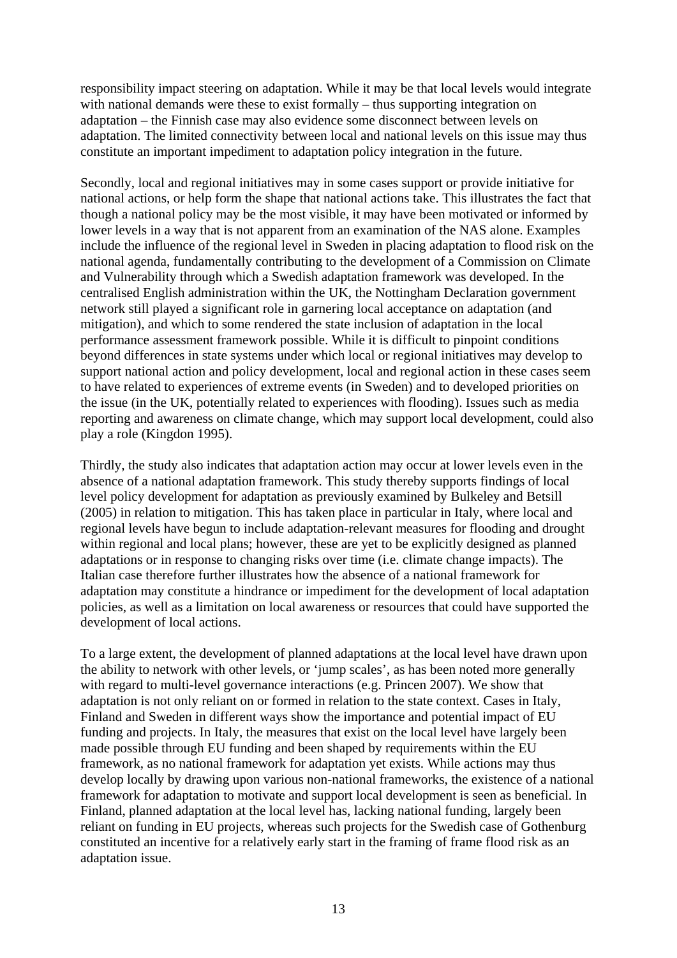responsibility impact steering on adaptation. While it may be that local levels would integrate with national demands were these to exist formally – thus supporting integration on adaptation – the Finnish case may also evidence some disconnect between levels on adaptation. The limited connectivity between local and national levels on this issue may thus constitute an important impediment to adaptation policy integration in the future.

Secondly, local and regional initiatives may in some cases support or provide initiative for national actions, or help form the shape that national actions take. This illustrates the fact that though a national policy may be the most visible, it may have been motivated or informed by lower levels in a way that is not apparent from an examination of the NAS alone. Examples include the influence of the regional level in Sweden in placing adaptation to flood risk on the national agenda, fundamentally contributing to the development of a Commission on Climate and Vulnerability through which a Swedish adaptation framework was developed. In the centralised English administration within the UK, the Nottingham Declaration government network still played a significant role in garnering local acceptance on adaptation (and mitigation), and which to some rendered the state inclusion of adaptation in the local performance assessment framework possible. While it is difficult to pinpoint conditions beyond differences in state systems under which local or regional initiatives may develop to support national action and policy development, local and regional action in these cases seem to have related to experiences of extreme events (in Sweden) and to developed priorities on the issue (in the UK, potentially related to experiences with flooding). Issues such as media reporting and awareness on climate change, which may support local development, could also play a role (Kingdon 1995).

Thirdly, the study also indicates that adaptation action may occur at lower levels even in the absence of a national adaptation framework. This study thereby supports findings of local level policy development for adaptation as previously examined by Bulkeley and Betsill (2005) in relation to mitigation. This has taken place in particular in Italy, where local and regional levels have begun to include adaptation-relevant measures for flooding and drought within regional and local plans; however, these are yet to be explicitly designed as planned adaptations or in response to changing risks over time (i.e. climate change impacts). The Italian case therefore further illustrates how the absence of a national framework for adaptation may constitute a hindrance or impediment for the development of local adaptation policies, as well as a limitation on local awareness or resources that could have supported the development of local actions.

To a large extent, the development of planned adaptations at the local level have drawn upon the ability to network with other levels, or 'jump scales', as has been noted more generally with regard to multi-level governance interactions (e.g. Princen 2007). We show that adaptation is not only reliant on or formed in relation to the state context. Cases in Italy, Finland and Sweden in different ways show the importance and potential impact of EU funding and projects. In Italy, the measures that exist on the local level have largely been made possible through EU funding and been shaped by requirements within the EU framework, as no national framework for adaptation yet exists. While actions may thus develop locally by drawing upon various non-national frameworks, the existence of a national framework for adaptation to motivate and support local development is seen as beneficial. In Finland, planned adaptation at the local level has, lacking national funding, largely been reliant on funding in EU projects, whereas such projects for the Swedish case of Gothenburg constituted an incentive for a relatively early start in the framing of frame flood risk as an adaptation issue.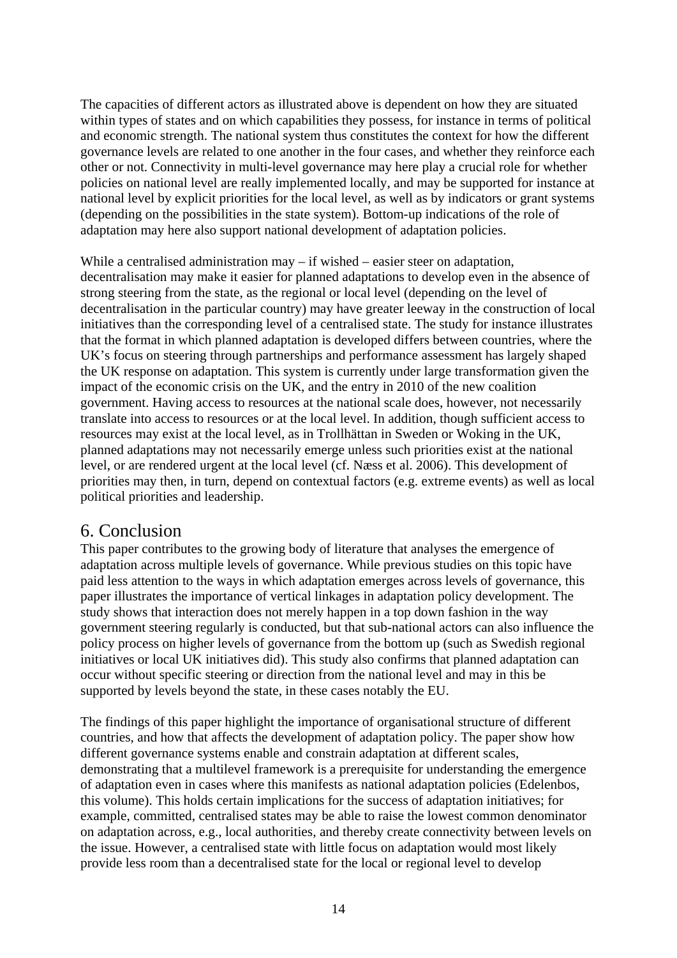The capacities of different actors as illustrated above is dependent on how they are situated within types of states and on which capabilities they possess, for instance in terms of political and economic strength. The national system thus constitutes the context for how the different governance levels are related to one another in the four cases, and whether they reinforce each other or not. Connectivity in multi-level governance may here play a crucial role for whether policies on national level are really implemented locally, and may be supported for instance at national level by explicit priorities for the local level, as well as by indicators or grant systems (depending on the possibilities in the state system). Bottom-up indications of the role of adaptation may here also support national development of adaptation policies.

While a centralised administration may – if wished – easier steer on adaptation, decentralisation may make it easier for planned adaptations to develop even in the absence of strong steering from the state, as the regional or local level (depending on the level of decentralisation in the particular country) may have greater leeway in the construction of local initiatives than the corresponding level of a centralised state. The study for instance illustrates that the format in which planned adaptation is developed differs between countries, where the UK's focus on steering through partnerships and performance assessment has largely shaped the UK response on adaptation. This system is currently under large transformation given the impact of the economic crisis on the UK, and the entry in 2010 of the new coalition government. Having access to resources at the national scale does, however, not necessarily translate into access to resources or at the local level. In addition, though sufficient access to resources may exist at the local level, as in Trollhättan in Sweden or Woking in the UK, planned adaptations may not necessarily emerge unless such priorities exist at the national level, or are rendered urgent at the local level (cf. Næss et al. 2006). This development of priorities may then, in turn, depend on contextual factors (e.g. extreme events) as well as local political priorities and leadership.

## 6. Conclusion

This paper contributes to the growing body of literature that analyses the emergence of adaptation across multiple levels of governance. While previous studies on this topic have paid less attention to the ways in which adaptation emerges across levels of governance, this paper illustrates the importance of vertical linkages in adaptation policy development. The study shows that interaction does not merely happen in a top down fashion in the way government steering regularly is conducted, but that sub-national actors can also influence the policy process on higher levels of governance from the bottom up (such as Swedish regional initiatives or local UK initiatives did). This study also confirms that planned adaptation can occur without specific steering or direction from the national level and may in this be supported by levels beyond the state, in these cases notably the EU.

The findings of this paper highlight the importance of organisational structure of different countries, and how that affects the development of adaptation policy. The paper show how different governance systems enable and constrain adaptation at different scales, demonstrating that a multilevel framework is a prerequisite for understanding the emergence of adaptation even in cases where this manifests as national adaptation policies (Edelenbos, this volume). This holds certain implications for the success of adaptation initiatives; for example, committed, centralised states may be able to raise the lowest common denominator on adaptation across, e.g., local authorities, and thereby create connectivity between levels on the issue. However, a centralised state with little focus on adaptation would most likely provide less room than a decentralised state for the local or regional level to develop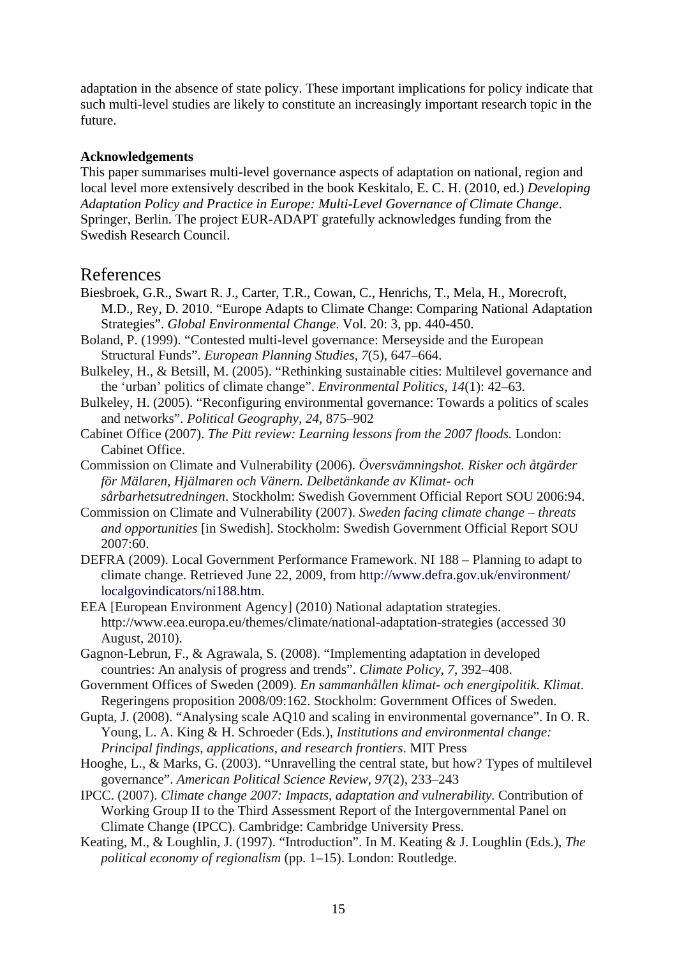adaptation in the absence of state policy. These important implications for policy indicate that such multi-level studies are likely to constitute an increasingly important research topic in the future.

#### **Acknowledgements**

This paper summarises multi-level governance aspects of adaptation on national, region and local level more extensively described in the book Keskitalo, E. C. H. (2010, ed.) *Developing Adaptation Policy and Practice in Europe: Multi-Level Governance of Climate Change*. Springer, Berlin. The project EUR-ADAPT gratefully acknowledges funding from the Swedish Research Council.

### References

- Biesbroek, G.R., Swart R. J., Carter, T.R., Cowan, C., Henrichs, T., Mela, H., Morecroft, M.D., Rey, D. 2010. "Europe Adapts to Climate Change: Comparing National Adaptation Strategies". *Global Environmental Change*. Vol. 20: 3, pp. 440-450.
- Boland, P. (1999). "Contested multi-level governance: Merseyside and the European Structural Funds". *European Planning Studies*, *7*(5), 647–664.
- Bulkeley, H., & Betsill, M. (2005). "Rethinking sustainable cities: Multilevel governance and the 'urban' politics of climate change". *Environmental Politics, 14*(1): 42–63.
- Bulkeley, H. (2005). "Reconfiguring environmental governance: Towards a politics of scales and networks". *Political Geography, 24*, 875–902
- Cabinet Office (2007). *The Pitt review: Learning lessons from the 2007 floods.* London: Cabinet Office.
- Commission on Climate and Vulnerability (2006). *Översvämningshot. Risker och åtgärder för Mälaren, Hjälmaren och Vänern. Delbetänkande av Klimat- och sårbarhetsutredningen*. Stockholm: Swedish Government Official Report SOU 2006:94.
- Commission on Climate and Vulnerability (2007). *Sweden facing climate change threats and opportunities* [in Swedish]. Stockholm: Swedish Government Official Report SOU 2007:60.
- DEFRA (2009). Local Government Performance Framework. NI 188 Planning to adapt to climate change. Retrieved June 22, 2009, from http://www.defra.gov.uk/environment/ localgovindicators/ni188.htm.
- EEA [European Environment Agency] (2010) National adaptation strategies. http://www.eea.europa.eu/themes/climate/national-adaptation-strategies (accessed 30 August, 2010).
- Gagnon-Lebrun, F., & Agrawala, S. (2008). "Implementing adaptation in developed countries: An analysis of progress and trends". *Climate Policy*, *7*, 392–408.
- Government Offices of Sweden (2009). *En sammanhållen klimat- och energipolitik. Klimat*. Regeringens proposition 2008/09:162. Stockholm: Government Offices of Sweden.
- Gupta, J. (2008). "Analysing scale AQ10 and scaling in environmental governance". In O. R. Young, L. A. King & H. Schroeder (Eds.), *Institutions and environmental change: Principal findings, applications, and research frontiers*. MIT Press
- Hooghe, L., & Marks, G. (2003). "Unravelling the central state, but how? Types of multilevel governance". *American Political Science Review*, *97*(2), 233–243
- IPCC. (2007). *Climate change 2007: Impacts, adaptation and vulnerability.* Contribution of Working Group II to the Third Assessment Report of the Intergovernmental Panel on Climate Change (IPCC). Cambridge: Cambridge University Press.
- Keating, M., & Loughlin, J. (1997). "Introduction". In M. Keating & J. Loughlin (Eds.), *The political economy of regionalism* (pp. 1–15). London: Routledge.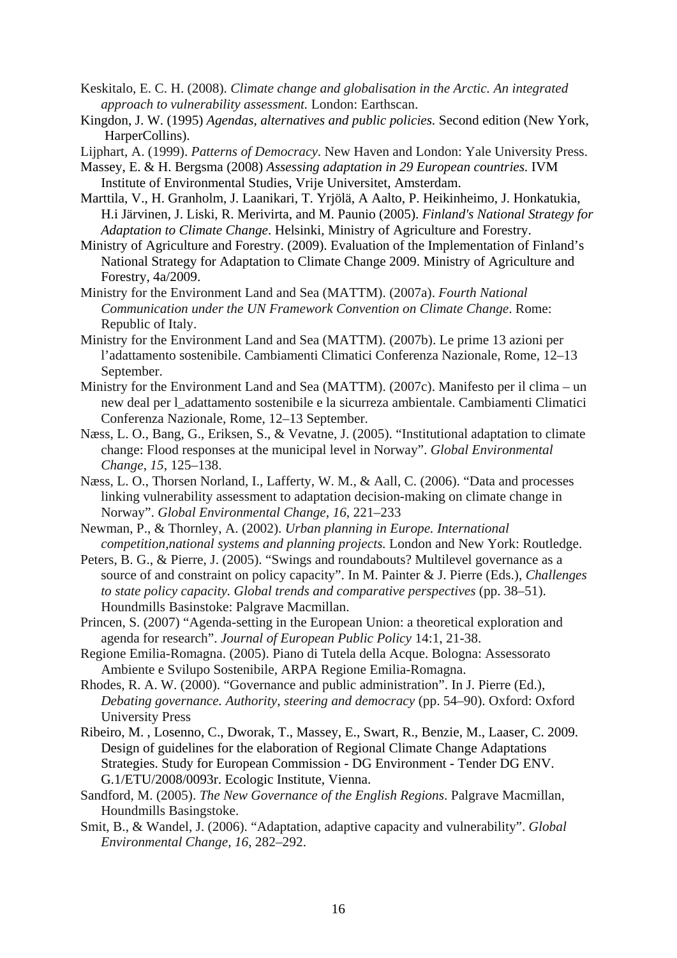- Keskitalo, E. C. H. (2008). *Climate change and globalisation in the Arctic. An integrated approach to vulnerability assessment.* London: Earthscan.
- Kingdon, J. W. (1995) *Agendas, alternatives and public policies.* Second edition (New York, HarperCollins).
- Lijphart, A. (1999). *Patterns of Democracy*. New Haven and London: Yale University Press.
- Massey, E. & H. Bergsma (2008) *Assessing adaptation in 29 European countries.* IVM Institute of Environmental Studies, Vrije Universitet, Amsterdam.
- Marttila, V., H. Granholm, J. Laanikari, T. Yrjölä, A Aalto, P. Heikinheimo, J. Honkatukia, H.i Järvinen, J. Liski, R. Merivirta, and M. Paunio (2005). *Finland's National Strategy for Adaptation to Climate Change*. Helsinki, Ministry of Agriculture and Forestry.
- Ministry of Agriculture and Forestry. (2009). Evaluation of the Implementation of Finland's National Strategy for Adaptation to Climate Change 2009. Ministry of Agriculture and Forestry, 4a/2009.
- Ministry for the Environment Land and Sea (MATTM). (2007a). *Fourth National Communication under the UN Framework Convention on Climate Change*. Rome: Republic of Italy.
- Ministry for the Environment Land and Sea (MATTM). (2007b). Le prime 13 azioni per l'adattamento sostenibile. Cambiamenti Climatici Conferenza Nazionale, Rome, 12–13 September.
- Ministry for the Environment Land and Sea (MATTM). (2007c). Manifesto per il clima un new deal per l\_adattamento sostenibile e la sicurreza ambientale. Cambiamenti Climatici Conferenza Nazionale, Rome, 12–13 September.
- Næss, L. O., Bang, G., Eriksen, S., & Vevatne, J. (2005). "Institutional adaptation to climate change: Flood responses at the municipal level in Norway". *Global Environmental Change*, *15*, 125–138.
- Næss, L. O., Thorsen Norland, I., Lafferty, W. M., & Aall, C. (2006). "Data and processes linking vulnerability assessment to adaptation decision-making on climate change in Norway". *Global Environmental Change*, *16*, 221–233
- Newman, P., & Thornley, A. (2002). *Urban planning in Europe. International competition,national systems and planning projects.* London and New York: Routledge.
- Peters, B. G., & Pierre, J. (2005). "Swings and roundabouts? Multilevel governance as a source of and constraint on policy capacity". In M. Painter & J. Pierre (Eds.), *Challenges to state policy capacity. Global trends and comparative perspectives (pp. 38–51).* Houndmills Basinstoke: Palgrave Macmillan.
- Princen, S. (2007) "Agenda-setting in the European Union: a theoretical exploration and agenda for research". *Journal of European Public Policy* 14:1, 21-38.
- Regione Emilia-Romagna. (2005). Piano di Tutela della Acque. Bologna: Assessorato Ambiente e Svilupo Sostenibile, ARPA Regione Emilia-Romagna.
- Rhodes, R. A. W. (2000). "Governance and public administration". In J. Pierre (Ed.), *Debating governance. Authority, steering and democracy* (pp. 54–90). Oxford: Oxford University Press
- Ribeiro, M. , Losenno, C., Dworak, T., Massey, E., Swart, R., Benzie, M., Laaser, C. 2009. Design of guidelines for the elaboration of Regional Climate Change Adaptations Strategies. Study for European Commission - DG Environment - Tender DG ENV. G.1/ETU/2008/0093r. Ecologic Institute, Vienna.
- Sandford, M. (2005). *The New Governance of the English Regions*. Palgrave Macmillan, Houndmills Basingstoke.
- Smit, B., & Wandel, J. (2006). "Adaptation, adaptive capacity and vulnerability". *Global Environmental Change, 16*, 282–292.